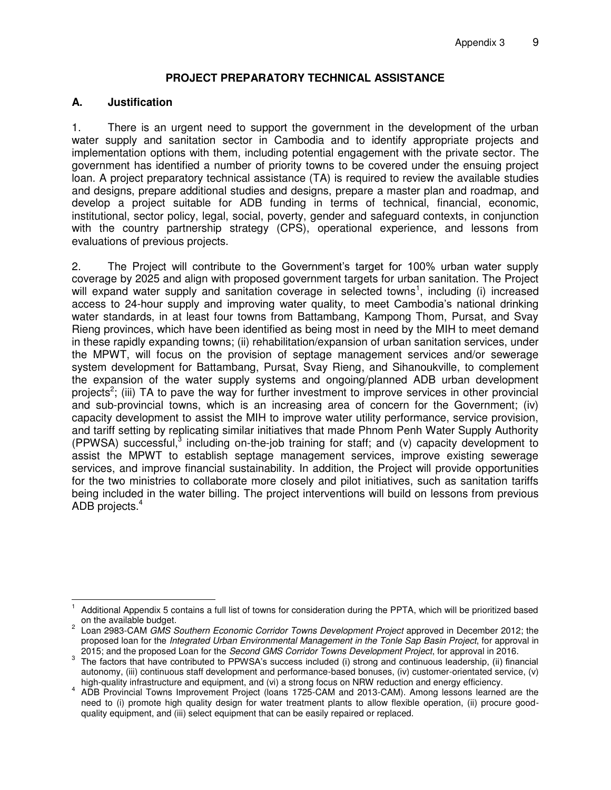#### **PROJECT PREPARATORY TECHNICAL ASSISTANCE**

#### **A. Justification**

1. There is an urgent need to support the government in the development of the urban water supply and sanitation sector in Cambodia and to identify appropriate projects and implementation options with them, including potential engagement with the private sector. The government has identified a number of priority towns to be covered under the ensuing project loan. A project preparatory technical assistance (TA) is required to review the available studies and designs, prepare additional studies and designs, prepare a master plan and roadmap, and develop a project suitable for ADB funding in terms of technical, financial, economic, institutional, sector policy, legal, social, poverty, gender and safeguard contexts, in conjunction with the country partnership strategy (CPS), operational experience, and lessons from evaluations of previous projects.

2. The Project will contribute to the Government's target for 100% urban water supply coverage by 2025 and align with proposed government targets for urban sanitation. The Project will expand water supply and sanitation coverage in selected towns<sup>1</sup>, including (i) increased access to 24-hour supply and improving water quality, to meet Cambodia's national drinking water standards, in at least four towns from Battambang, Kampong Thom, Pursat, and Svay Rieng provinces, which have been identified as being most in need by the MIH to meet demand in these rapidly expanding towns; (ii) rehabilitation/expansion of urban sanitation services, under the MPWT, will focus on the provision of septage management services and/or sewerage system development for Battambang, Pursat, Svay Rieng, and Sihanoukville, to complement the expansion of the water supply systems and ongoing/planned ADB urban development projects<sup>2</sup>; (iii) TA to pave the way for further investment to improve services in other provincial and sub-provincial towns, which is an increasing area of concern for the Government; (iv) capacity development to assist the MIH to improve water utility performance, service provision, and tariff setting by replicating similar initiatives that made Phnom Penh Water Supply Authority (PPWSA) successful,<sup>3</sup> including on-the-job training for staff; and (v) capacity development to assist the MPWT to establish septage management services, improve existing sewerage services, and improve financial sustainability. In addition, the Project will provide opportunities for the two ministries to collaborate more closely and pilot initiatives, such as sanitation tariffs being included in the water billing. The project interventions will build on lessons from previous ADB projects.<sup>4</sup>

 $\overline{a}$ 1 Additional Appendix 5 contains a full list of towns for consideration during the PPTA, which will be prioritized based on the available budget.

<sup>2</sup> Loan 2983-CAM *GMS Southern Economic Corridor Towns Development Project* approved in December 2012; the proposed loan for the *Integrated Urban Environmental Management in the Tonle Sap Basin Project*, for approval in 2015; and the proposed Loan for the *Second GMS Corridor Towns Development Project*, for approval in 2016.

 $3$  The factors that have contributed to PPWSA's success included (i) strong and continuous leadership, (ii) financial autonomy, (iii) continuous staff development and performance-based bonuses, (iv) customer-orientated service, (v) high-quality infrastructure and equipment, and (vi) a strong focus on NRW reduction and energy efficiency.

<sup>4</sup> ADB Provincial Towns Improvement Project (loans 1725-CAM and 2013-CAM). Among lessons learned are the need to (i) promote high quality design for water treatment plants to allow flexible operation, (ii) procure goodquality equipment, and (iii) select equipment that can be easily repaired or replaced.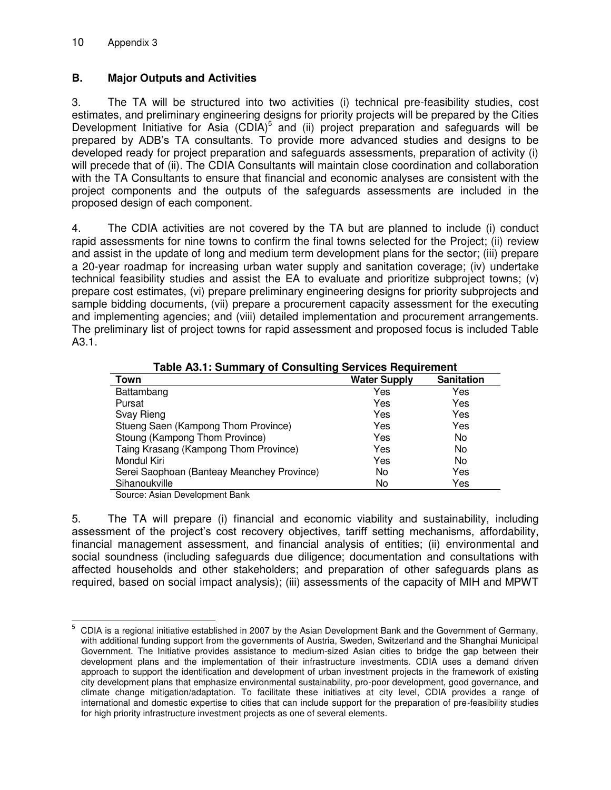## **B. Major Outputs and Activities**

3. The TA will be structured into two activities (i) technical pre-feasibility studies, cost estimates, and preliminary engineering designs for priority projects will be prepared by the Cities Development Initiative for Asia  $(CDIA)^5$  and (ii) project preparation and safeguards will be prepared by ADB's TA consultants. To provide more advanced studies and designs to be developed ready for project preparation and safeguards assessments, preparation of activity (i) will precede that of (ii). The CDIA Consultants will maintain close coordination and collaboration with the TA Consultants to ensure that financial and economic analyses are consistent with the project components and the outputs of the safeguards assessments are included in the proposed design of each component.

4. The CDIA activities are not covered by the TA but are planned to include (i) conduct rapid assessments for nine towns to confirm the final towns selected for the Project; (ii) review and assist in the update of long and medium term development plans for the sector; (iii) prepare a 20-year roadmap for increasing urban water supply and sanitation coverage; (iv) undertake technical feasibility studies and assist the EA to evaluate and prioritize subproject towns; (v) prepare cost estimates, (vi) prepare preliminary engineering designs for priority subprojects and sample bidding documents, (vii) prepare a procurement capacity assessment for the executing and implementing agencies; and (viii) detailed implementation and procurement arrangements. The preliminary list of project towns for rapid assessment and proposed focus is included Table A3.1.

| Table A3.1: Summary of Consulting Services Requirement |                     |                   |  |
|--------------------------------------------------------|---------------------|-------------------|--|
| Town                                                   | <b>Water Supply</b> | <b>Sanitation</b> |  |
| Battambang                                             | Yes                 | Yes               |  |
| Pursat                                                 | Yes                 | Yes               |  |
| Svay Rieng                                             | Yes                 | Yes               |  |
| Stueng Saen (Kampong Thom Province)                    | Yes                 | Yes               |  |
| Stoung (Kampong Thom Province)                         | Yes                 | No.               |  |
| Taing Krasang (Kampong Thom Province)                  | Yes                 | No.               |  |
| Mondul Kiri                                            | Yes                 | No.               |  |
| Serei Saophoan (Banteay Meanchey Province)             | No                  | Yes               |  |
| Sihanoukville                                          | No                  | Yes               |  |

**Table A3.1: Summary of Consulting Services Requirement** 

Source: Asian Development Bank

5. The TA will prepare (i) financial and economic viability and sustainability, including assessment of the project's cost recovery objectives, tariff setting mechanisms, affordability, financial management assessment, and financial analysis of entities; (ii) environmental and social soundness (including safeguards due diligence; documentation and consultations with affected households and other stakeholders; and preparation of other safeguards plans as required, based on social impact analysis); (iii) assessments of the capacity of MIH and MPWT

 $\overline{a}$ 5 CDIA is a regional initiative established in 2007 by the Asian Development Bank and the Government of Germany, with additional funding support from the governments of Austria, Sweden, Switzerland and the Shanghai Municipal Government. The Initiative provides assistance to medium-sized Asian cities to bridge the gap between their development plans and the implementation of their infrastructure investments. CDIA uses a demand driven approach to support the identification and development of urban investment projects in the framework of existing city development plans that emphasize environmental sustainability, pro-poor development, good governance, and climate change mitigation/adaptation. To facilitate these initiatives at city level, CDIA provides a range of international and domestic expertise to cities that can include support for the preparation of pre-feasibility studies for high priority infrastructure investment projects as one of several elements.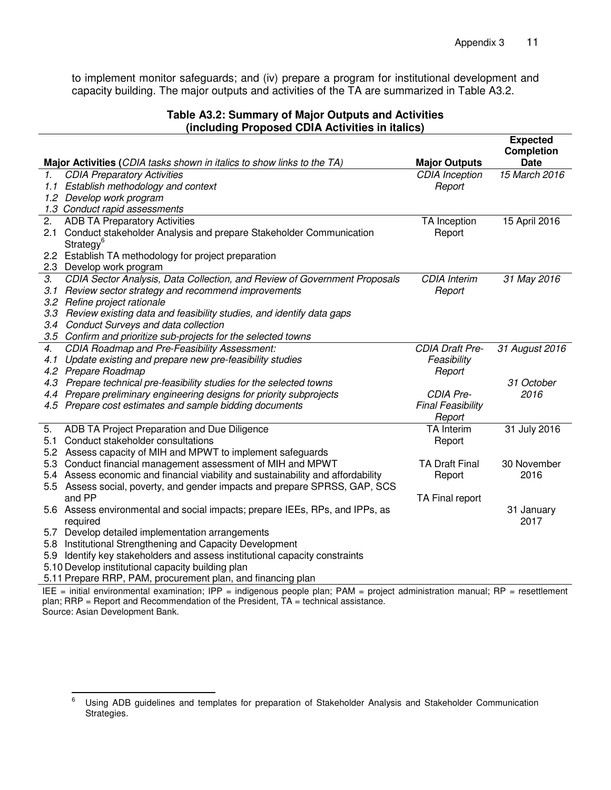to implement monitor safeguards; and (iv) prepare a program for institutional development and capacity building. The major outputs and activities of the TA are summarized in Table A3.2.

#### **Table A3.2: Summary of Major Outputs and Activities (including Proposed CDIA Activities in italics)**

|                                                                                                                               |                                                                                                                                                                |                          | <b>Expected</b><br><b>Completion</b> |  |  |
|-------------------------------------------------------------------------------------------------------------------------------|----------------------------------------------------------------------------------------------------------------------------------------------------------------|--------------------------|--------------------------------------|--|--|
|                                                                                                                               | Major Activities (CDIA tasks shown in italics to show links to the TA)                                                                                         | <b>Major Outputs</b>     | <b>Date</b>                          |  |  |
| 1.                                                                                                                            | <b>CDIA Preparatory Activities</b>                                                                                                                             | <b>CDIA</b> Inception    | 15 March 2016                        |  |  |
|                                                                                                                               | 1.1 Establish methodology and context                                                                                                                          | Report                   |                                      |  |  |
|                                                                                                                               | 1.2 Develop work program                                                                                                                                       |                          |                                      |  |  |
|                                                                                                                               | 1.3 Conduct rapid assessments                                                                                                                                  |                          |                                      |  |  |
| 2.                                                                                                                            | <b>ADB TA Preparatory Activities</b>                                                                                                                           | TA Inception             | 15 April 2016                        |  |  |
| 2.1                                                                                                                           | Conduct stakeholder Analysis and prepare Stakeholder Communication<br>Strategy <sup>6</sup>                                                                    | Report                   |                                      |  |  |
|                                                                                                                               | 2.2 Establish TA methodology for project preparation                                                                                                           |                          |                                      |  |  |
|                                                                                                                               | 2.3 Develop work program                                                                                                                                       |                          |                                      |  |  |
| З.                                                                                                                            | CDIA Sector Analysis, Data Collection, and Review of Government Proposals                                                                                      | <b>CDIA</b> Interim      | 31 May 2016                          |  |  |
| 3.1                                                                                                                           | Review sector strategy and recommend improvements                                                                                                              | Report                   |                                      |  |  |
|                                                                                                                               | 3.2 Refine project rationale                                                                                                                                   |                          |                                      |  |  |
|                                                                                                                               | 3.3 Review existing data and feasibility studies, and identify data gaps                                                                                       |                          |                                      |  |  |
| 3.4                                                                                                                           | Conduct Surveys and data collection                                                                                                                            |                          |                                      |  |  |
|                                                                                                                               | 3.5 Confirm and prioritize sub-projects for the selected towns                                                                                                 |                          |                                      |  |  |
| 4.                                                                                                                            | CDIA Roadmap and Pre-Feasibility Assessment:                                                                                                                   | CDIA Draft Pre-          | 31 August 2016                       |  |  |
| 4.1                                                                                                                           | Update existing and prepare new pre-feasibility studies                                                                                                        | Feasibility              |                                      |  |  |
|                                                                                                                               | 4.2 Prepare Roadmap                                                                                                                                            | Report                   |                                      |  |  |
|                                                                                                                               | 4.3 Prepare technical pre-feasibility studies for the selected towns                                                                                           |                          | 31 October                           |  |  |
|                                                                                                                               | 4.4 Prepare preliminary engineering designs for priority subprojects                                                                                           | CDIA Pre-                | 2016                                 |  |  |
|                                                                                                                               | 4.5 Prepare cost estimates and sample bidding documents                                                                                                        | <b>Final Feasibility</b> |                                      |  |  |
|                                                                                                                               |                                                                                                                                                                | Report                   |                                      |  |  |
| 5.                                                                                                                            | ADB TA Project Preparation and Due Diligence                                                                                                                   | <b>TA</b> Interim        | 31 July 2016                         |  |  |
| 5.1                                                                                                                           | Conduct stakeholder consultations                                                                                                                              | Report                   |                                      |  |  |
|                                                                                                                               | 5.2 Assess capacity of MIH and MPWT to implement safeguards                                                                                                    |                          |                                      |  |  |
| 5.3                                                                                                                           | Conduct financial management assessment of MIH and MPWT                                                                                                        | <b>TA Draft Final</b>    | 30 November                          |  |  |
|                                                                                                                               | 5.4 Assess economic and financial viability and sustainability and affordability<br>5.5 Assess social, poverty, and gender impacts and prepare SPRSS, GAP, SCS | Report                   | 2016                                 |  |  |
|                                                                                                                               | and PP                                                                                                                                                         | TA Final report          |                                      |  |  |
|                                                                                                                               | 5.6 Assess environmental and social impacts; prepare IEEs, RPs, and IPPs, as                                                                                   |                          | 31 January                           |  |  |
|                                                                                                                               | required                                                                                                                                                       |                          | 2017                                 |  |  |
|                                                                                                                               | 5.7 Develop detailed implementation arrangements                                                                                                               |                          |                                      |  |  |
|                                                                                                                               | 5.8 Institutional Strengthening and Capacity Development                                                                                                       |                          |                                      |  |  |
| 5.9                                                                                                                           | Identify key stakeholders and assess institutional capacity constraints                                                                                        |                          |                                      |  |  |
|                                                                                                                               | 5.10 Develop institutional capacity building plan                                                                                                              |                          |                                      |  |  |
|                                                                                                                               | 5.11 Prepare RRP, PAM, procurement plan, and financing plan                                                                                                    |                          |                                      |  |  |
| IEE = initial environmental examination; IPP = indigenous people plan; PAM = project administration manual; RP = resettlement |                                                                                                                                                                |                          |                                      |  |  |

plan; RRP = Report and Recommendation of the President, TA = technical assistance.

Source: Asian Development Bank.

<sup>—&</sup>lt;br>6 Using ADB guidelines and templates for preparation of Stakeholder Analysis and Stakeholder Communication Strategies.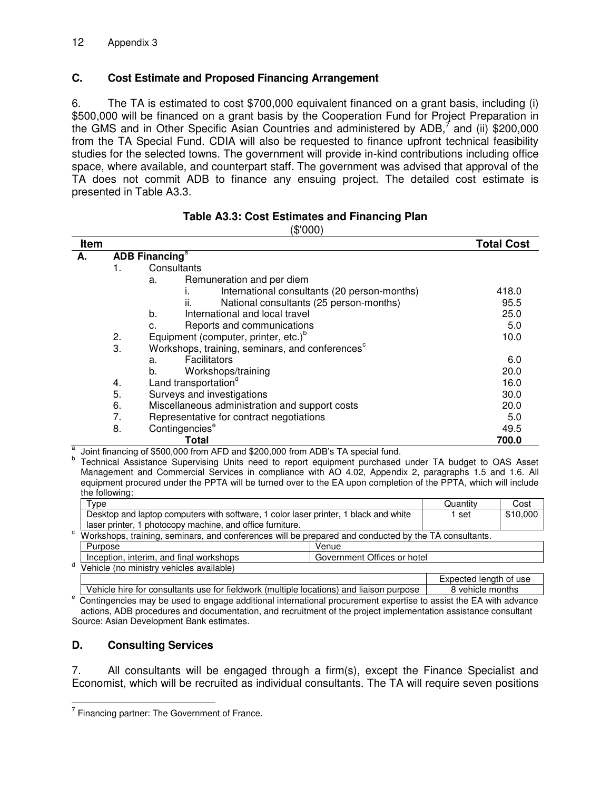## **C. Cost Estimate and Proposed Financing Arrangement**

6. The TA is estimated to cost \$700,000 equivalent financed on a grant basis, including (i) \$500,000 will be financed on a grant basis by the Cooperation Fund for Project Preparation in the GMS and in Other Specific Asian Countries and administered by ADB,<sup>7</sup> and (ii) \$200,000 from the TA Special Fund. CDIA will also be requested to finance upfront technical feasibility studies for the selected towns. The government will provide in-kind contributions including office space, where available, and counterpart staff. The government was advised that approval of the TA does not commit ADB to finance any ensuing project. The detailed cost estimate is presented in Table A3.3.

| Item |                                   |                                                                                                                                                                                                                                                                                                                                                                                                                                                                         | <b>Total Cost</b> |
|------|-----------------------------------|-------------------------------------------------------------------------------------------------------------------------------------------------------------------------------------------------------------------------------------------------------------------------------------------------------------------------------------------------------------------------------------------------------------------------------------------------------------------------|-------------------|
| А.   | <b>ADB Financing</b> <sup>a</sup> |                                                                                                                                                                                                                                                                                                                                                                                                                                                                         |                   |
|      | 1.                                | Consultants                                                                                                                                                                                                                                                                                                                                                                                                                                                             |                   |
|      |                                   | Remuneration and per diem<br>a.                                                                                                                                                                                                                                                                                                                                                                                                                                         |                   |
|      |                                   | International consultants (20 person-months)<br>Ι.                                                                                                                                                                                                                                                                                                                                                                                                                      | 418.0             |
|      |                                   | National consultants (25 person-months)<br>Ш.                                                                                                                                                                                                                                                                                                                                                                                                                           | 95.5              |
|      |                                   | International and local travel<br>b.                                                                                                                                                                                                                                                                                                                                                                                                                                    | 25.0              |
|      |                                   | Reports and communications<br>c.                                                                                                                                                                                                                                                                                                                                                                                                                                        | 5.0               |
|      | 2.                                | Equipment (computer, printer, etc.) <sup>b</sup>                                                                                                                                                                                                                                                                                                                                                                                                                        | 10.0              |
|      | 3.                                | Workshops, training, seminars, and conferences <sup>c</sup>                                                                                                                                                                                                                                                                                                                                                                                                             |                   |
|      |                                   | <b>Facilitators</b><br>a.                                                                                                                                                                                                                                                                                                                                                                                                                                               | 6.0               |
|      |                                   | Workshops/training<br>b.                                                                                                                                                                                                                                                                                                                                                                                                                                                | 20.0              |
|      | 4.                                | Land transportation <sup>d</sup>                                                                                                                                                                                                                                                                                                                                                                                                                                        | 16.0              |
|      | 5.                                | Surveys and investigations                                                                                                                                                                                                                                                                                                                                                                                                                                              | 30.0              |
|      | 6.                                | Miscellaneous administration and support costs                                                                                                                                                                                                                                                                                                                                                                                                                          | 20.0              |
|      | 7.                                | Representative for contract negotiations                                                                                                                                                                                                                                                                                                                                                                                                                                | 5.0               |
|      | 8.                                | Contingencies <sup>e</sup>                                                                                                                                                                                                                                                                                                                                                                                                                                              | 49.5              |
|      |                                   | Total                                                                                                                                                                                                                                                                                                                                                                                                                                                                   | 700.0             |
|      |                                   | Joint financing of \$500,000 from AFD and \$200,000 from ADB's TA special fund.<br>$\overline{a}$ $\overline{b}$ $\overline{b}$ $\overline{c}$ $\overline{a}$ $\overline{b}$ $\overline{c}$ $\overline{c}$ $\overline{c}$ $\overline{c}$ $\overline{c}$ $\overline{d}$ $\overline{d}$ $\overline{d}$ $\overline{d}$ $\overline{d}$ $\overline{d}$ $\overline{d}$ $\overline{d}$ $\overline{d}$ $\overline{d}$ $\overline{d}$ $\overline{d}$ $\overline{d}$ $\overline{$ |                   |

#### **Table A3.3: Cost Estimates and Financing Plan**  (\$'000)

b Technical Assistance Supervising Units need to report equipment purchased under TA budget to OAS Asset Management and Commercial Services in compliance with AO 4.02, Appendix 2, paragraphs 1.5 and 1.6. All equipment procured under the PPTA will be turned over to the EA upon completion of the PPTA, which will include

|                                                                                                      | the following:                                                                          |                             |          |          |
|------------------------------------------------------------------------------------------------------|-----------------------------------------------------------------------------------------|-----------------------------|----------|----------|
|                                                                                                      | Type                                                                                    |                             | Quantity | Cost     |
|                                                                                                      | Desktop and laptop computers with software, 1 color laser printer, 1 black and white    |                             | set      | \$10,000 |
|                                                                                                      | laser printer, 1 photocopy machine, and office furniture.                               |                             |          |          |
| Workshops, training, seminars, and conferences will be prepared and conducted by the TA consultants. |                                                                                         |                             |          |          |
|                                                                                                      | Purpose                                                                                 | Venue                       |          |          |
|                                                                                                      | Inception, interim, and final workshops                                                 | Government Offices or hotel |          |          |
|                                                                                                      | Vehicle (no ministry vehicles available)                                                |                             |          |          |
|                                                                                                      |                                                                                         | Expected length of use      |          |          |
|                                                                                                      | Vehicle bire for consultants use for fieldwork (multiple locations) and ligison purpose | 8 vehicle months            |          |          |

Vehicle hire for consultants use for fieldwork (multiple locations) and liaison purpose | 8 vehicle months <sup>e</sup> Contingencies may be used to engage additional international procurement expertise to assist the EA with advance actions, ADB procedures and documentation, and recruitment of the project implementation assistance consultant Source: Asian Development Bank estimates.

## **D. Consulting Services**

7. All consultants will be engaged through a firm(s), except the Finance Specialist and Economist, which will be recruited as individual consultants. The TA will require seven positions

THET THE COVERTHET THE GOVERNMENT CHANGE.<br>The Government of France.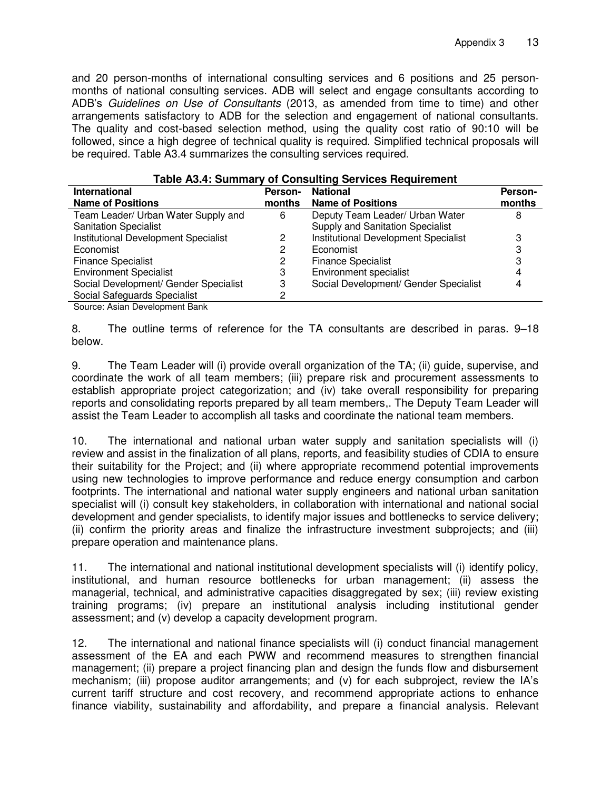and 20 person-months of international consulting services and 6 positions and 25 personmonths of national consulting services. ADB will select and engage consultants according to ADB's *Guidelines on Use of Consultants* (2013, as amended from time to time) and other arrangements satisfactory to ADB for the selection and engagement of national consultants. The quality and cost-based selection method, using the quality cost ratio of 90:10 will be followed, since a high degree of technical quality is required. Simplified technical proposals will be required. Table A3.4 summarizes the consulting services required.

| rable A3.4: Summary of Consulting Services Requirement |                |                                       |         |  |
|--------------------------------------------------------|----------------|---------------------------------------|---------|--|
| <b>International</b>                                   | <b>Person-</b> | <b>National</b>                       | Person- |  |
| <b>Name of Positions</b>                               | months         | <b>Name of Positions</b>              | months  |  |
| Team Leader/ Urban Water Supply and                    | 6              | Deputy Team Leader/ Urban Water       |         |  |
| <b>Sanitation Specialist</b>                           |                | Supply and Sanitation Specialist      |         |  |
| Institutional Development Specialist                   | 2              | Institutional Development Specialist  |         |  |
| Economist                                              | 2              | Economist                             |         |  |
| <b>Finance Specialist</b>                              | 2              | <b>Finance Specialist</b>             |         |  |
| <b>Environment Specialist</b>                          | 3              | Environment specialist                |         |  |
| Social Development/ Gender Specialist                  | 3              | Social Development/ Gender Specialist |         |  |
| Social Safeguards Specialist                           |                |                                       |         |  |
| Source: Asian Development Bank                         |                |                                       |         |  |

| Table A3.4: Summary of Consulting Services Requirement |  |  |  |
|--------------------------------------------------------|--|--|--|
|--------------------------------------------------------|--|--|--|

8. The outline terms of reference for the TA consultants are described in paras. 9–18 below.

9. The Team Leader will (i) provide overall organization of the TA; (ii) guide, supervise, and coordinate the work of all team members; (iii) prepare risk and procurement assessments to establish appropriate project categorization; and (iv) take overall responsibility for preparing reports and consolidating reports prepared by all team members,. The Deputy Team Leader will assist the Team Leader to accomplish all tasks and coordinate the national team members.

10. The international and national urban water supply and sanitation specialists will (i) review and assist in the finalization of all plans, reports, and feasibility studies of CDIA to ensure their suitability for the Project; and (ii) where appropriate recommend potential improvements using new technologies to improve performance and reduce energy consumption and carbon footprints. The international and national water supply engineers and national urban sanitation specialist will (i) consult key stakeholders, in collaboration with international and national social development and gender specialists, to identify major issues and bottlenecks to service delivery; (ii) confirm the priority areas and finalize the infrastructure investment subprojects; and (iii) prepare operation and maintenance plans.

11. The international and national institutional development specialists will (i) identify policy, institutional, and human resource bottlenecks for urban management; (ii) assess the managerial, technical, and administrative capacities disaggregated by sex; (iii) review existing training programs; (iv) prepare an institutional analysis including institutional gender assessment; and (v) develop a capacity development program.

12. The international and national finance specialists will (i) conduct financial management assessment of the EA and each PWW and recommend measures to strengthen financial management; (ii) prepare a project financing plan and design the funds flow and disbursement mechanism; (iii) propose auditor arrangements; and (v) for each subproject, review the IA's current tariff structure and cost recovery, and recommend appropriate actions to enhance finance viability, sustainability and affordability, and prepare a financial analysis. Relevant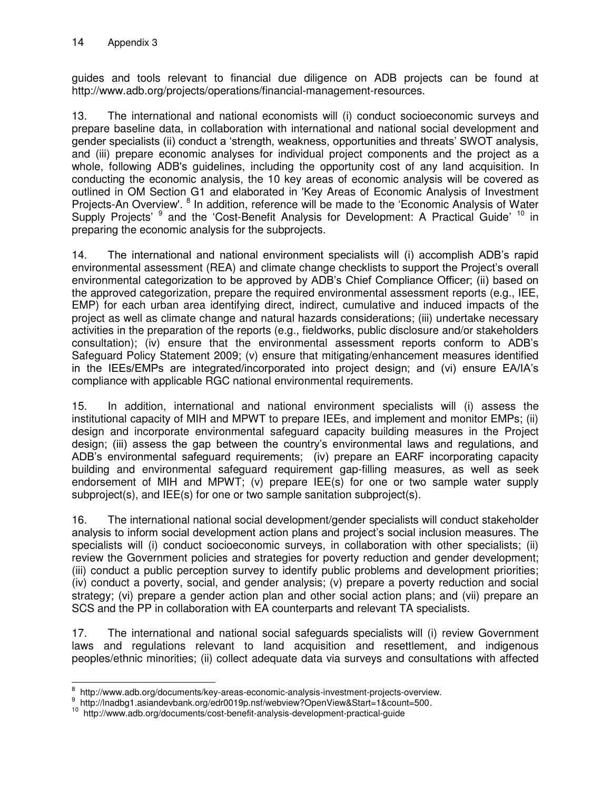guides and tools relevant to financial due diligence on ADB projects can be found at http://www.adb.org/projects/operations/financial-management-resources.

13. The international and national economists will (i) conduct socioeconomic surveys and prepare baseline data, in collaboration with international and national social development and gender specialists (ii) conduct a 'strength, weakness, opportunities and threats' SWOT analysis, and (iii) prepare economic analyses for individual project components and the project as a whole, following ADB's guidelines, including the opportunity cost of any land acquisition. In conducting the economic analysis, the 10 key areas of economic analysis will be covered as outlined in OM Section G1 and elaborated in 'Key Areas of Economic Analysis of Investment Projects-An Overview'. <sup>8</sup> In addition, reference will be made to the 'Economic Analysis of Water Supply Projects'<sup>9</sup> and the 'Cost-Benefit Analysis for Development: A Practical Guide'<sup>10</sup> in preparing the economic analysis for the subprojects.

14. The international and national environment specialists will (i) accomplish ADB's rapid environmental assessment (REA) and climate change checklists to support the Project's overall environmental categorization to be approved by ADB's Chief Compliance Officer; (ii) based on the approved categorization, prepare the required environmental assessment reports (e.g., IEE, EMP) for each urban area identifying direct, indirect, cumulative and induced impacts of the project as well as climate change and natural hazards considerations; (iii) undertake necessary activities in the preparation of the reports (e.g., fieldworks, public disclosure and/or stakeholders consultation); (iv) ensure that the environmental assessment reports conform to ADB's Safeguard Policy Statement 2009; (v) ensure that mitigating/enhancement measures identified in the IEEs/EMPs are integrated/incorporated into project design; and (vi) ensure EA/IA's compliance with applicable RGC national environmental requirements.

15. In addition, international and national environment specialists will (i) assess the institutional capacity of MIH and MPWT to prepare IEEs, and implement and monitor EMPs; (ii) design and incorporate environmental safeguard capacity building measures in the Project design; (iii) assess the gap between the country's environmental laws and regulations, and ADB's environmental safeguard requirements; (iv) prepare an EARF incorporating capacity building and environmental safeguard requirement gap-filling measures, as well as seek endorsement of MIH and MPWT; (v) prepare IEE(s) for one or two sample water supply subproject(s), and IEE(s) for one or two sample sanitation subproject(s).

16. The international national social development/gender specialists will conduct stakeholder analysis to inform social development action plans and project's social inclusion measures. The specialists will (i) conduct socioeconomic surveys, in collaboration with other specialists; (ii) review the Government policies and strategies for poverty reduction and gender development; (iii) conduct a public perception survey to identify public problems and development priorities; (iv) conduct a poverty, social, and gender analysis; (v) prepare a poverty reduction and social strategy; (vi) prepare a gender action plan and other social action plans; and (vii) prepare an SCS and the PP in collaboration with EA counterparts and relevant TA specialists.

17. The international and national social safeguards specialists will (i) review Government laws and regulations relevant to land acquisition and resettlement, and indigenous peoples/ethnic minorities; (ii) collect adequate data via surveys and consultations with affected

 $\overline{a}$ 8 http://www.adb.org/documents/key-areas-economic-analysis-investment-projects-overview.

<sup>9</sup> [http://lnadbg1.asiandevbank.org/edr0019p.nsf/webview?OpenView&Start=1&count=500.](http://lnadbg1.asiandevbank.org/edr0019p.nsf/webview?OpenView&Start=1&count=500)

<sup>&</sup>lt;sup>10</sup> http://www.adb.org/documents/cost-benefit-analysis-development-practical-guide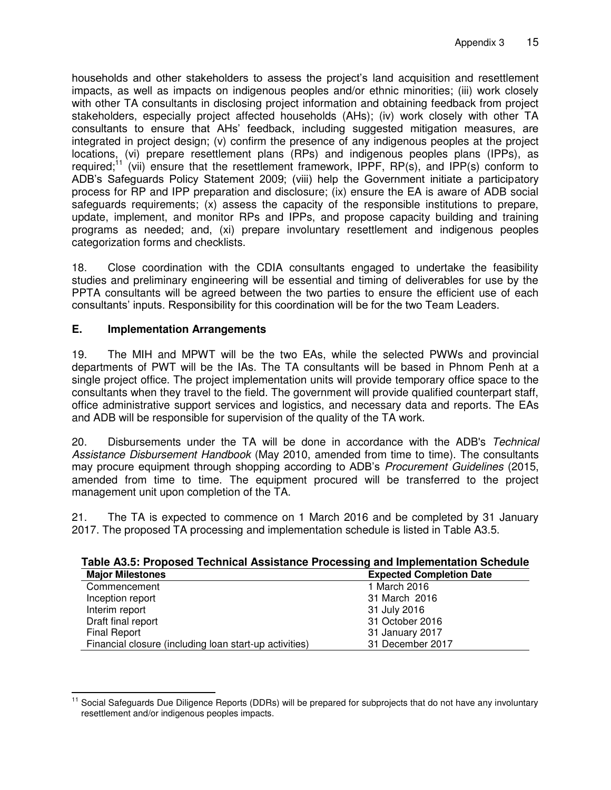households and other stakeholders to assess the project's land acquisition and resettlement impacts, as well as impacts on indigenous peoples and/or ethnic minorities; (iii) work closely with other TA consultants in disclosing project information and obtaining feedback from project stakeholders, especially project affected households (AHs); (iv) work closely with other TA consultants to ensure that AHs' feedback, including suggested mitigation measures, are integrated in project design; (v) confirm the presence of any indigenous peoples at the project locations, (vi) prepare resettlement plans (RPs) and indigenous peoples plans (IPPs), as required;<sup>11</sup> (vii) ensure that the resettlement framework, IPPF,  $RP(s)$ , and IPP(s) conform to ADB's Safeguards Policy Statement 2009; (viii) help the Government initiate a participatory process for RP and IPP preparation and disclosure; (ix) ensure the EA is aware of ADB social safeguards requirements; (x) assess the capacity of the responsible institutions to prepare, update, implement, and monitor RPs and IPPs, and propose capacity building and training programs as needed; and, (xi) prepare involuntary resettlement and indigenous peoples categorization forms and checklists.

18. Close coordination with the CDIA consultants engaged to undertake the feasibility studies and preliminary engineering will be essential and timing of deliverables for use by the PPTA consultants will be agreed between the two parties to ensure the efficient use of each consultants' inputs. Responsibility for this coordination will be for the two Team Leaders.

## **E. Implementation Arrangements**

19. The MIH and MPWT will be the two EAs, while the selected PWWs and provincial departments of PWT will be the IAs. The TA consultants will be based in Phnom Penh at a single project office. The project implementation units will provide temporary office space to the consultants when they travel to the field. The government will provide qualified counterpart staff, office administrative support services and logistics, and necessary data and reports. The EAs and ADB will be responsible for supervision of the quality of the TA work.

20. Disbursements under the TA will be done in accordance with the ADB's *Technical Assistance Disbursement Handbook* (May 2010, amended from time to time). The consultants may procure equipment through shopping according to ADB's *Procurement Guidelines* (2015, amended from time to time. The equipment procured will be transferred to the project management unit upon completion of the TA.

21. The TA is expected to commence on 1 March 2016 and be completed by 31 January 2017. The proposed TA processing and implementation schedule is listed in Table A3.5.

| Table A3.5: Proposed Technical Assistance Processing and implementation Schedule |
|----------------------------------------------------------------------------------|
|                                                                                  |
|                                                                                  |
|                                                                                  |
|                                                                                  |
|                                                                                  |
|                                                                                  |
|                                                                                  |

Financial closure (including loan start-up activities) 31 December 2017

#### **Table A3.5: Proposed Technical Assistance Processing and Implementation Schedule**

j <sup>11</sup> Social Safeguards Due Diligence Reports (DDRs) will be prepared for subprojects that do not have any involuntary resettlement and/or indigenous peoples impacts.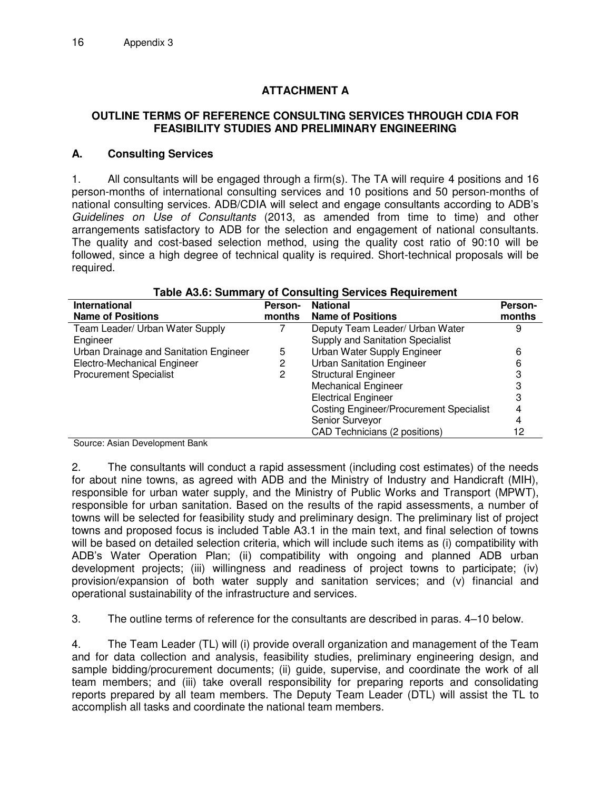# **ATTACHMENT A**

#### **OUTLINE TERMS OF REFERENCE CONSULTING SERVICES THROUGH CDIA FOR FEASIBILITY STUDIES AND PRELIMINARY ENGINEERING**

#### **A. Consulting Services**

1. All consultants will be engaged through a firm(s). The TA will require 4 positions and 16 person-months of international consulting services and 10 positions and 50 person-months of national consulting services. ADB/CDIA will select and engage consultants according to ADB's *Guidelines on Use of Consultants* (2013, as amended from time to time) and other arrangements satisfactory to ADB for the selection and engagement of national consultants. The quality and cost-based selection method, using the quality cost ratio of 90:10 will be followed, since a high degree of technical quality is required. Short-technical proposals will be required.

| rapic AJ.0. Julillial y Or Consulting Jervices Regulierient |                |                                                |                |
|-------------------------------------------------------------|----------------|------------------------------------------------|----------------|
| <b>International</b>                                        | <b>Person-</b> | <b>National</b>                                | <b>Person-</b> |
| <b>Name of Positions</b>                                    | months         | <b>Name of Positions</b>                       | months         |
| Team Leader/ Urban Water Supply                             |                | Deputy Team Leader/ Urban Water                | 9              |
| Engineer                                                    |                | Supply and Sanitation Specialist               |                |
| Urban Drainage and Sanitation Engineer                      | 5              | Urban Water Supply Engineer                    | 6              |
| Electro-Mechanical Engineer                                 |                | <b>Urban Sanitation Engineer</b>               | 6              |
| <b>Procurement Specialist</b>                               | 2              | <b>Structural Engineer</b>                     |                |
|                                                             |                | <b>Mechanical Engineer</b>                     |                |
|                                                             |                | <b>Electrical Engineer</b>                     |                |
|                                                             |                | <b>Costing Engineer/Procurement Specialist</b> | 4              |
|                                                             |                | Senior Surveyor                                |                |
|                                                             |                | <b>CAD Technicians (2 positions)</b>           |                |

## **Table A3.6: Summary of Consulting Services Requirement**

Source: Asian Development Bank

2. The consultants will conduct a rapid assessment (including cost estimates) of the needs for about nine towns, as agreed with ADB and the Ministry of Industry and Handicraft (MIH), responsible for urban water supply, and the Ministry of Public Works and Transport (MPWT), responsible for urban sanitation. Based on the results of the rapid assessments, a number of towns will be selected for feasibility study and preliminary design. The preliminary list of project towns and proposed focus is included Table A3.1 in the main text, and final selection of towns will be based on detailed selection criteria, which will include such items as (i) compatibility with ADB's Water Operation Plan; (ii) compatibility with ongoing and planned ADB urban development projects; (iii) willingness and readiness of project towns to participate; (iv) provision/expansion of both water supply and sanitation services; and (v) financial and operational sustainability of the infrastructure and services.

3. The outline terms of reference for the consultants are described in paras. 4–10 below.

4. The Team Leader (TL) will (i) provide overall organization and management of the Team and for data collection and analysis, feasibility studies, preliminary engineering design, and sample bidding/procurement documents; (ii) guide, supervise, and coordinate the work of all team members; and (iii) take overall responsibility for preparing reports and consolidating reports prepared by all team members. The Deputy Team Leader (DTL) will assist the TL to accomplish all tasks and coordinate the national team members.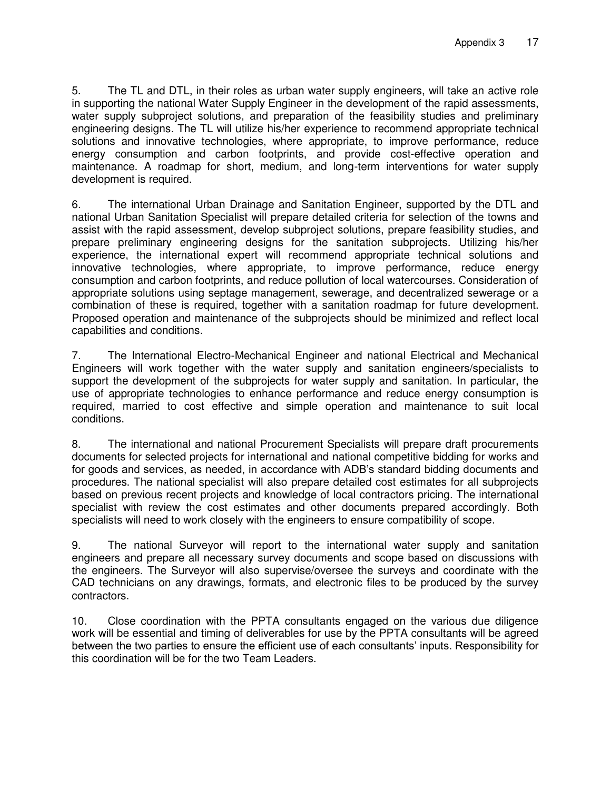5. The TL and DTL, in their roles as urban water supply engineers, will take an active role in supporting the national Water Supply Engineer in the development of the rapid assessments, water supply subproject solutions, and preparation of the feasibility studies and preliminary engineering designs. The TL will utilize his/her experience to recommend appropriate technical solutions and innovative technologies, where appropriate, to improve performance, reduce energy consumption and carbon footprints, and provide cost-effective operation and maintenance. A roadmap for short, medium, and long-term interventions for water supply development is required.

6. The international Urban Drainage and Sanitation Engineer, supported by the DTL and national Urban Sanitation Specialist will prepare detailed criteria for selection of the towns and assist with the rapid assessment, develop subproject solutions, prepare feasibility studies, and prepare preliminary engineering designs for the sanitation subprojects. Utilizing his/her experience, the international expert will recommend appropriate technical solutions and innovative technologies, where appropriate, to improve performance, reduce energy consumption and carbon footprints, and reduce pollution of local watercourses. Consideration of appropriate solutions using septage management, sewerage, and decentralized sewerage or a combination of these is required, together with a sanitation roadmap for future development. Proposed operation and maintenance of the subprojects should be minimized and reflect local capabilities and conditions.

7. The International Electro-Mechanical Engineer and national Electrical and Mechanical Engineers will work together with the water supply and sanitation engineers/specialists to support the development of the subprojects for water supply and sanitation. In particular, the use of appropriate technologies to enhance performance and reduce energy consumption is required, married to cost effective and simple operation and maintenance to suit local conditions.

8. The international and national Procurement Specialists will prepare draft procurements documents for selected projects for international and national competitive bidding for works and for goods and services, as needed, in accordance with ADB's standard bidding documents and procedures. The national specialist will also prepare detailed cost estimates for all subprojects based on previous recent projects and knowledge of local contractors pricing. The international specialist with review the cost estimates and other documents prepared accordingly. Both specialists will need to work closely with the engineers to ensure compatibility of scope.

9. The national Surveyor will report to the international water supply and sanitation engineers and prepare all necessary survey documents and scope based on discussions with the engineers. The Surveyor will also supervise/oversee the surveys and coordinate with the CAD technicians on any drawings, formats, and electronic files to be produced by the survey contractors.

10. Close coordination with the PPTA consultants engaged on the various due diligence work will be essential and timing of deliverables for use by the PPTA consultants will be agreed between the two parties to ensure the efficient use of each consultants' inputs. Responsibility for this coordination will be for the two Team Leaders.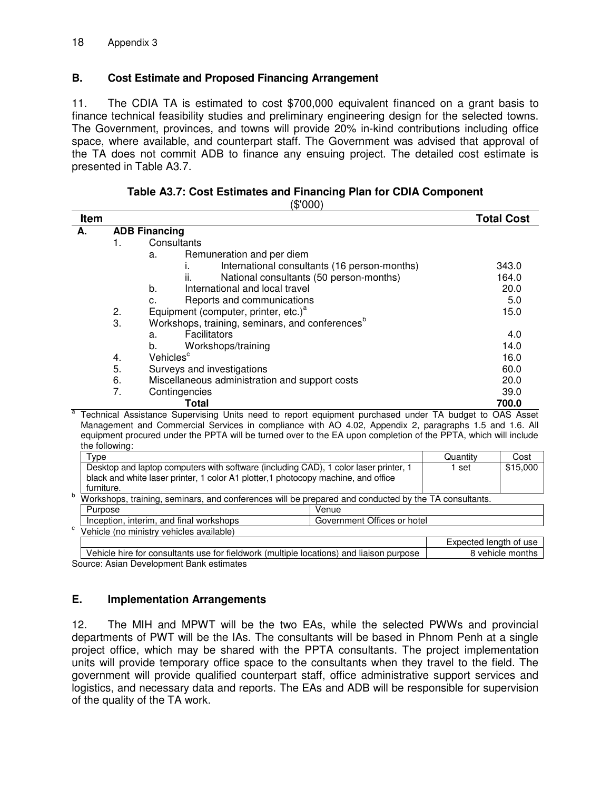#### **B. Cost Estimate and Proposed Financing Arrangement**

11. The CDIA TA is estimated to cost \$700,000 equivalent financed on a grant basis to finance technical feasibility studies and preliminary engineering design for the selected towns. The Government, provinces, and towns will provide 20% in-kind contributions including office space, where available, and counterpart staff. The Government was advised that approval of the TA does not commit ADB to finance any ensuing project. The detailed cost estimate is presented in Table A3.7.

**Table A3.7: Cost Estimates and Financing Plan for CDIA Component** 

| 'NUU<br>Ж. |  |
|------------|--|
|------------|--|

| Item                             |                      |                                                                                                                 | <b>Total Cost</b> |
|----------------------------------|----------------------|-----------------------------------------------------------------------------------------------------------------|-------------------|
| А.                               | <b>ADB Financing</b> |                                                                                                                 |                   |
|                                  | 1.                   | Consultants                                                                                                     |                   |
|                                  |                      | Remuneration and per diem<br>a.                                                                                 |                   |
|                                  |                      | International consultants (16 person-months)                                                                    | 343.0             |
|                                  |                      | ii.<br>National consultants (50 person-months)                                                                  | 164.0             |
|                                  |                      | b.<br>International and local travel                                                                            | 20.0              |
| Reports and communications<br>c. |                      | 5.0                                                                                                             |                   |
|                                  | 2.                   | Equipment (computer, printer, etc.) <sup>a</sup>                                                                | 15.0              |
|                                  | 3.                   | Workshops, training, seminars, and conferences <sup>b</sup>                                                     |                   |
|                                  |                      | Facilitators<br>a.                                                                                              | 4.0               |
|                                  |                      | Workshops/training<br>b.                                                                                        | 14.0              |
|                                  | 4.                   | Vehicles <sup>c</sup>                                                                                           | 16.0              |
|                                  | 5.                   | Surveys and investigations                                                                                      | 60.0              |
|                                  | 6.                   | Miscellaneous administration and support costs                                                                  | 20.0              |
|                                  | 7.                   | Contingencies                                                                                                   | 39.0              |
|                                  |                      | Total<br>Technical Assistance Supervising Units need to report equipment purchased under TA budget to OAS Asset | 700.0             |

 Technical Assistance Supervising Units need to report equipment purchased under TA budget to OAS Asset Management and Commercial Services in compliance with AO 4.02, Appendix 2, paragraphs 1.5 and 1.6. All equipment procured under the PPTA will be turned over to the EA upon completion of the PPTA, which will include the following:

|                                                                                                            | $\tau_{\text{ype}}$                                                                  |                             | Quantity               | Cost |
|------------------------------------------------------------------------------------------------------------|--------------------------------------------------------------------------------------|-----------------------------|------------------------|------|
|                                                                                                            | Desktop and laptop computers with software (including CAD), 1 color laser printer, 1 | set                         | \$15,000               |      |
|                                                                                                            | black and white laser printer, 1 color A1 plotter,1 photocopy machine, and office    |                             |                        |      |
|                                                                                                            | furniture.                                                                           |                             |                        |      |
| b.<br>Workshops, training, seminars, and conferences will be prepared and conducted by the TA consultants. |                                                                                      |                             |                        |      |
|                                                                                                            | Purpose                                                                              | Venue                       |                        |      |
|                                                                                                            | Inception, interim, and final workshops                                              | Government Offices or hotel |                        |      |
| C                                                                                                          | Vehicle (no ministry vehicles available)                                             |                             |                        |      |
|                                                                                                            |                                                                                      |                             | Expected length of use |      |
|                                                                                                            | .<br>.<br>$\cdots$                                                                   | .<br>.                      |                        |      |

| Vehicle hire for consultants use for fieldwork (multiple locations) and liaison purpose | 8 vehicle months Source: Asian Development Bank estimates

#### **E. Implementation Arrangements**

12. The MIH and MPWT will be the two EAs, while the selected PWWs and provincial departments of PWT will be the IAs. The consultants will be based in Phnom Penh at a single project office, which may be shared with the PPTA consultants. The project implementation units will provide temporary office space to the consultants when they travel to the field. The government will provide qualified counterpart staff, office administrative support services and logistics, and necessary data and reports. The EAs and ADB will be responsible for supervision of the quality of the TA work.